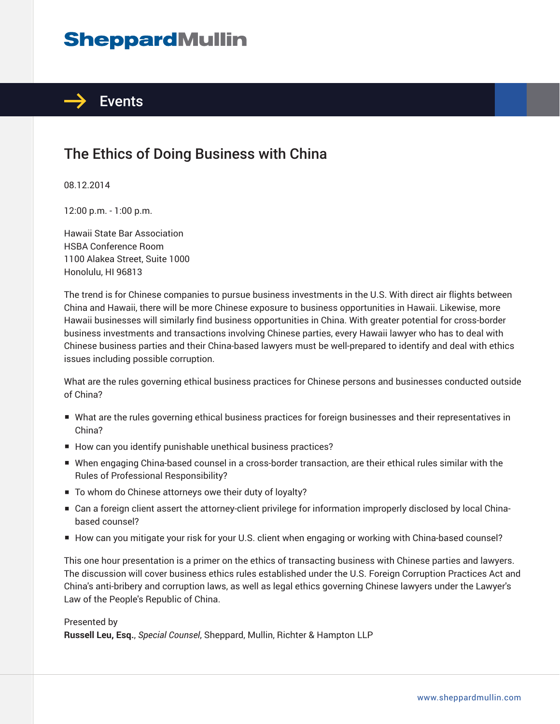## **SheppardMullin**



## The Ethics of Doing Business with China

08.12.2014

12:00 p.m. - 1:00 p.m.

Hawaii State Bar Association HSBA Conference Room 1100 Alakea Street, Suite 1000 Honolulu, HI 96813

The trend is for Chinese companies to pursue business investments in the U.S. With direct air flights between China and Hawaii, there will be more Chinese exposure to business opportunities in Hawaii. Likewise, more Hawaii businesses will similarly find business opportunities in China. With greater potential for cross-border business investments and transactions involving Chinese parties, every Hawaii lawyer who has to deal with Chinese business parties and their China-based lawyers must be well-prepared to identify and deal with ethics issues including possible corruption.

What are the rules governing ethical business practices for Chinese persons and businesses conducted outside of China?

- What are the rules governing ethical business practices for foreign businesses and their representatives in China?
- How can you identify punishable unethical business practices?
- When engaging China-based counsel in a cross-border transaction, are their ethical rules similar with the Rules of Professional Responsibility?
- To whom do Chinese attorneys owe their duty of loyalty?
- Can a foreign client assert the attorney-client privilege for information improperly disclosed by local Chinabased counsel?
- How can you mitigate your risk for your U.S. client when engaging or working with China-based counsel?

This one hour presentation is a primer on the ethics of transacting business with Chinese parties and lawyers. The discussion will cover business ethics rules established under the U.S. Foreign Corruption Practices Act and China's anti-bribery and corruption laws, as well as legal ethics governing Chinese lawyers under the Lawyer's Law of the People's Republic of China.

## Presented by

**Russell Leu, Esq.**, *Special Counsel*, Sheppard, Mullin, Richter & Hampton LLP